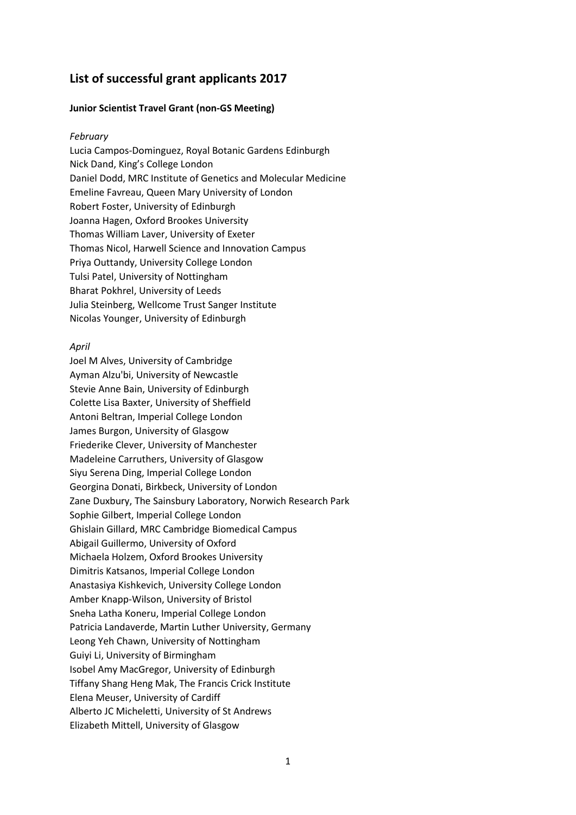# **List of successful grant applicants 2017**

# **Junior Scientist Travel Grant (non-GS Meeting)**

### *February*

Lucia Campos-Dominguez, Royal Botanic Gardens Edinburgh Nick Dand, King's College London Daniel Dodd, MRC Institute of Genetics and Molecular Medicine Emeline Favreau, Queen Mary University of London Robert Foster, University of Edinburgh Joanna Hagen, Oxford Brookes University Thomas William Laver, University of Exeter Thomas Nicol, Harwell Science and Innovation Campus Priya Outtandy, University College London Tulsi Patel, University of Nottingham Bharat Pokhrel, University of Leeds Julia Steinberg, Wellcome Trust Sanger Institute Nicolas Younger, University of Edinburgh

### *April*

Joel M Alves, University of Cambridge Ayman Alzu'bi, University of Newcastle Stevie Anne Bain, University of Edinburgh Colette Lisa Baxter, University of Sheffield Antoni Beltran, Imperial College London James Burgon, University of Glasgow Friederike Clever, University of Manchester Madeleine Carruthers, University of Glasgow Siyu Serena Ding, Imperial College London Georgina Donati, Birkbeck, University of London Zane Duxbury, The Sainsbury Laboratory, Norwich Research Park Sophie Gilbert, Imperial College London Ghislain Gillard, MRC Cambridge Biomedical Campus Abigail Guillermo, University of Oxford Michaela Holzem, Oxford Brookes University Dimitris Katsanos, Imperial College London Anastasiya Kishkevich, University College London Amber Knapp-Wilson, University of Bristol Sneha Latha Koneru, Imperial College London Patricia Landaverde, Martin Luther University, Germany Leong Yeh Chawn, University of Nottingham Guiyi Li, University of Birmingham Isobel Amy MacGregor, University of Edinburgh Tiffany Shang Heng Mak, The Francis Crick Institute Elena Meuser, University of Cardiff Alberto JC Micheletti, University of St Andrews Elizabeth Mittell, University of Glasgow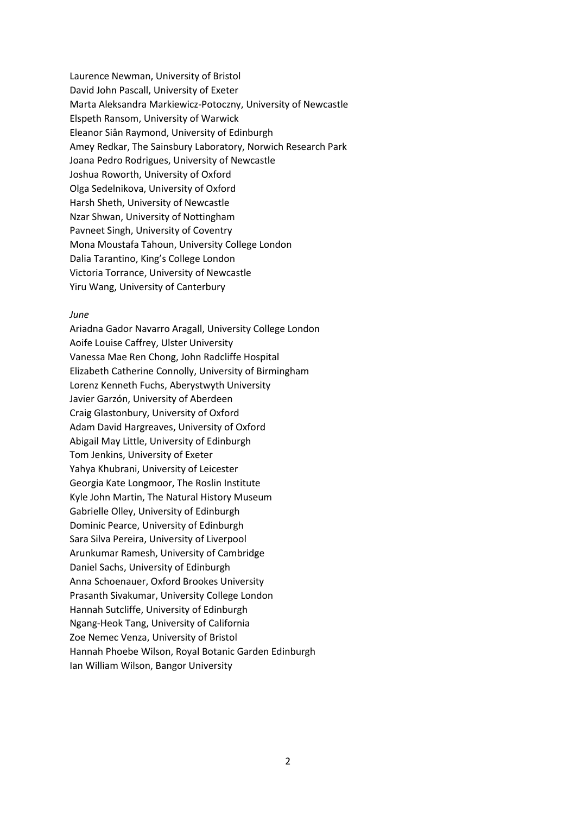Laurence Newman, University of Bristol David John Pascall, University of Exeter Marta Aleksandra Markiewicz-Potoczny, University of Newcastle Elspeth Ransom, University of Warwick Eleanor Siân Raymond, University of Edinburgh Amey Redkar, The Sainsbury Laboratory, Norwich Research Park Joana Pedro Rodrigues, University of Newcastle Joshua Roworth, University of Oxford Olga Sedelnikova, University of Oxford Harsh Sheth, University of Newcastle Nzar Shwan, University of Nottingham Pavneet Singh, University of Coventry Mona Moustafa Tahoun, University College London Dalia Tarantino, King's College London Victoria Torrance, University of Newcastle Yiru Wang, University of Canterbury

### *June*

Ariadna Gador Navarro Aragall, University College London Aoife Louise Caffrey, Ulster University Vanessa Mae Ren Chong, John Radcliffe Hospital Elizabeth Catherine Connolly, University of Birmingham Lorenz Kenneth Fuchs, Aberystwyth University Javier Garzón, University of Aberdeen Craig Glastonbury, University of Oxford Adam David Hargreaves, University of Oxford Abigail May Little, University of Edinburgh Tom Jenkins, University of Exeter Yahya Khubrani, University of Leicester Georgia Kate Longmoor, The Roslin Institute Kyle John Martin, The Natural History Museum Gabrielle Olley, University of Edinburgh Dominic Pearce, University of Edinburgh Sara Silva Pereira, University of Liverpool Arunkumar Ramesh, University of Cambridge Daniel Sachs, University of Edinburgh Anna Schoenauer, Oxford Brookes University Prasanth Sivakumar, University College London Hannah Sutcliffe, University of Edinburgh Ngang-Heok Tang, University of California Zoe Nemec Venza, University of Bristol Hannah Phoebe Wilson, Royal Botanic Garden Edinburgh Ian William Wilson, Bangor University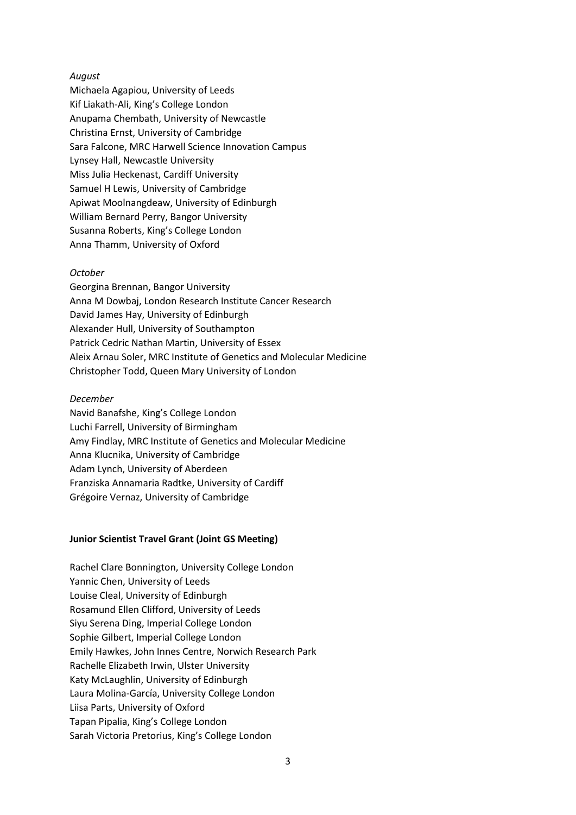# *August*

Michaela Agapiou, University of Leeds Kif Liakath-Ali, King's College London Anupama Chembath, University of Newcastle Christina Ernst, University of Cambridge Sara Falcone, MRC Harwell Science Innovation Campus Lynsey Hall, Newcastle University Miss Julia Heckenast, Cardiff University Samuel H Lewis, University of Cambridge Apiwat Moolnangdeaw, University of Edinburgh William Bernard Perry, Bangor University Susanna Roberts, King's College London Anna Thamm, University of Oxford

### *October*

Georgina Brennan, Bangor University Anna M Dowbaj, London Research Institute Cancer Research David James Hay, University of Edinburgh Alexander Hull, University of Southampton Patrick Cedric Nathan Martin, University of Essex Aleix Arnau Soler, MRC Institute of Genetics and Molecular Medicine Christopher Todd, Queen Mary University of London

### *December*

Navid Banafshe, King's College London Luchi Farrell, University of Birmingham Amy Findlay, MRC Institute of Genetics and Molecular Medicine Anna Klucnika, University of Cambridge Adam Lynch, University of Aberdeen Franziska Annamaria Radtke, University of Cardiff Grégoire Vernaz, University of Cambridge

### **Junior Scientist Travel Grant (Joint GS Meeting)**

Rachel Clare Bonnington, University College London Yannic Chen, University of Leeds Louise Cleal, University of Edinburgh Rosamund Ellen Clifford, University of Leeds Siyu Serena Ding, Imperial College London Sophie Gilbert, Imperial College London Emily Hawkes, John Innes Centre, Norwich Research Park Rachelle Elizabeth Irwin, Ulster University Katy McLaughlin, University of Edinburgh Laura Molina-García, University College London Liisa Parts, University of Oxford Tapan Pipalia, King's College London Sarah Victoria Pretorius, King's College London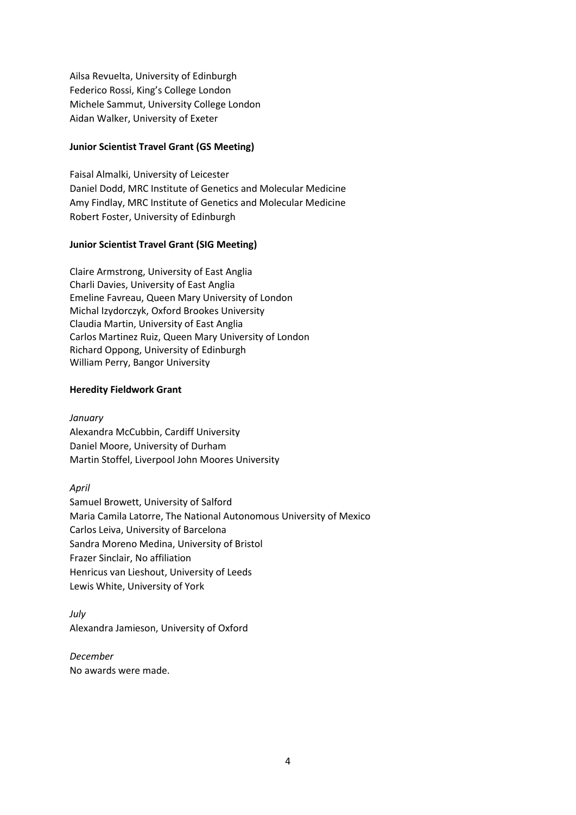Ailsa Revuelta, University of Edinburgh Federico Rossi, King's College London Michele Sammut, University College London Aidan Walker, University of Exeter

# **Junior Scientist Travel Grant (GS Meeting)**

Faisal Almalki, University of Leicester Daniel Dodd, MRC Institute of Genetics and Molecular Medicine Amy Findlay, MRC Institute of Genetics and Molecular Medicine Robert Foster, University of Edinburgh

# **Junior Scientist Travel Grant (SIG Meeting)**

Claire Armstrong, University of East Anglia Charli Davies, University of East Anglia Emeline Favreau, Queen Mary University of London Michal Izydorczyk, Oxford Brookes University Claudia Martin, University of East Anglia Carlos Martinez Ruiz, Queen Mary University of London Richard Oppong, University of Edinburgh William Perry, Bangor University

# **Heredity Fieldwork Grant**

*January*  Alexandra McCubbin, Cardiff University Daniel Moore, University of Durham Martin Stoffel, Liverpool John Moores University

*April* 

Samuel Browett, University of Salford Maria Camila Latorre, The National Autonomous University of Mexico Carlos Leiva, University of Barcelona Sandra Moreno Medina, University of Bristol Frazer Sinclair, No affiliation Henricus van Lieshout, University of Leeds Lewis White, University of York

*July*  Alexandra Jamieson, University of Oxford

*December*  No awards were made.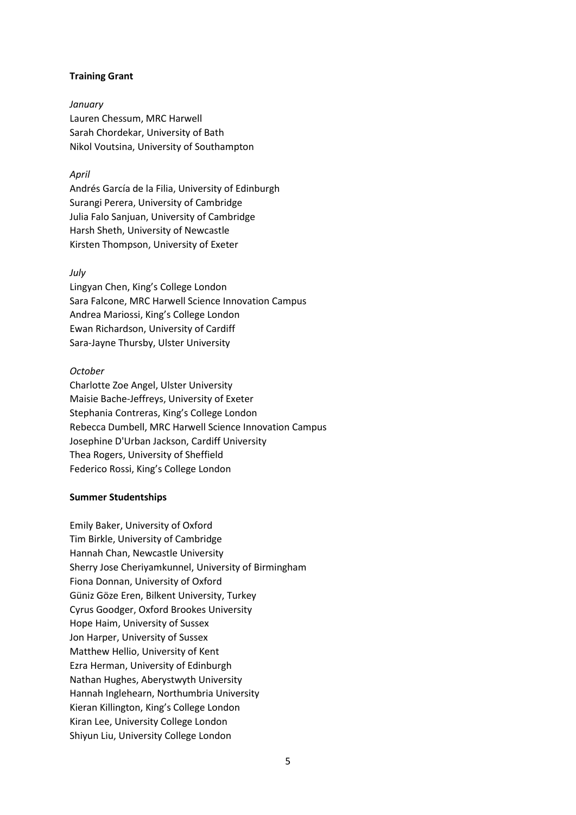# **Training Grant**

*January*  Lauren Chessum, MRC Harwell Sarah Chordekar, University of Bath Nikol Voutsina, University of Southampton

# *April*

Andrés García de la Filia, University of Edinburgh Surangi Perera, University of Cambridge Julia Falo Sanjuan, University of Cambridge Harsh Sheth, University of Newcastle Kirsten Thompson, University of Exeter

# *July*

Lingyan Chen, King's College London Sara Falcone, MRC Harwell Science Innovation Campus Andrea Mariossi, King's College London Ewan Richardson, University of Cardiff Sara-Jayne Thursby, Ulster University

### *October*

Charlotte Zoe Angel, Ulster University Maisie Bache-Jeffreys, University of Exeter Stephania Contreras, King's College London Rebecca Dumbell, MRC Harwell Science Innovation Campus Josephine D'Urban Jackson, Cardiff University Thea Rogers, University of Sheffield Federico Rossi, King's College London

### **Summer Studentships**

Emily Baker, University of Oxford Tim Birkle, University of Cambridge Hannah Chan, Newcastle University Sherry Jose Cheriyamkunnel, University of Birmingham Fiona Donnan, University of Oxford Güniz Göze Eren, Bilkent University, Turkey Cyrus Goodger, Oxford Brookes University Hope Haim, University of Sussex Jon Harper, University of Sussex Matthew Hellio, University of Kent Ezra Herman, University of Edinburgh Nathan Hughes, Aberystwyth University Hannah Inglehearn, Northumbria University Kieran Killington, King's College London Kiran Lee, University College London Shiyun Liu, University College London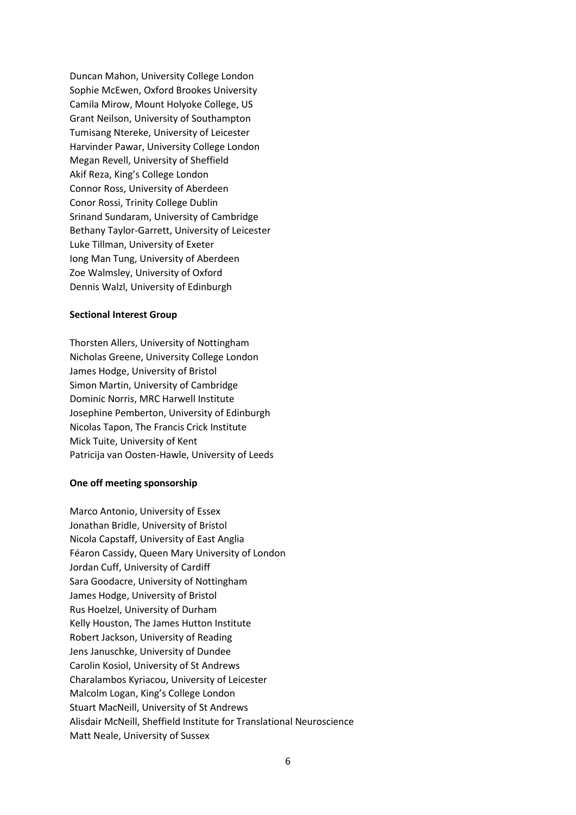Duncan Mahon, University College London Sophie McEwen, Oxford Brookes University Camila Mirow, Mount Holyoke College, US Grant Neilson, University of Southampton Tumisang Ntereke, University of Leicester Harvinder Pawar, University College London Megan Revell, University of Sheffield Akif Reza, King's College London Connor Ross, University of Aberdeen Conor Rossi, Trinity College Dublin Srinand Sundaram, University of Cambridge Bethany Taylor-Garrett, University of Leicester Luke Tillman, University of Exeter Iong Man Tung, University of Aberdeen Zoe Walmsley, University of Oxford Dennis Walzl, University of Edinburgh

### **Sectional Interest Group**

Thorsten Allers, University of Nottingham Nicholas Greene, University College London James Hodge, University of Bristol Simon Martin, University of Cambridge Dominic Norris, MRC Harwell Institute Josephine Pemberton, University of Edinburgh Nicolas Tapon, The Francis Crick Institute Mick Tuite, University of Kent Patricija van Oosten-Hawle, University of Leeds

# **One off meeting sponsorship**

Marco Antonio, University of Essex Jonathan Bridle, University of Bristol Nicola Capstaff, University of East Anglia Féaron Cassidy, Queen Mary University of London Jordan Cuff, University of Cardiff Sara Goodacre, University of Nottingham James Hodge, University of Bristol Rus Hoelzel, University of Durham Kelly Houston, The James Hutton Institute Robert Jackson, University of Reading Jens Januschke, University of Dundee Carolin Kosiol, University of St Andrews Charalambos Kyriacou, University of Leicester Malcolm Logan, King's College London Stuart MacNeill, University of St Andrews Alisdair McNeill, Sheffield Institute for Translational Neuroscience Matt Neale, University of Sussex